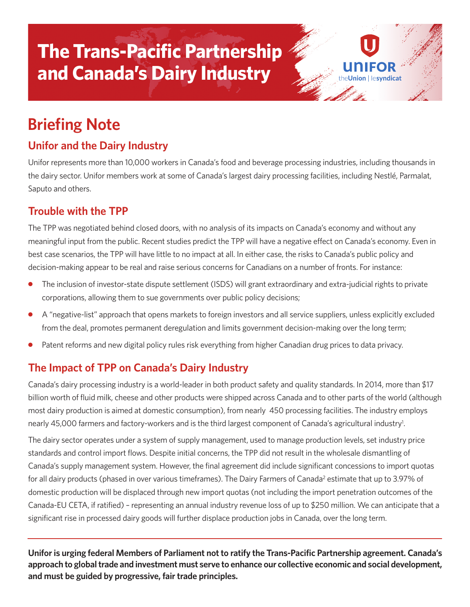# **The Trans-Pacific Partnership and Canada's Dairy Industry**

# **Briefing Note**

## **Unifor and the Dairy Industry**

Unifor represents more than 10,000 workers in Canada's food and beverage processing industries, including thousands in the dairy sector. Unifor members work at some of Canada's largest dairy processing facilities, including Nestlé, Parmalat, Saputo and others.

on Hesyndicat

#### **Trouble with the TPP**

The TPP was negotiated behind closed doors, with no analysis of its impacts on Canada's economy and without any meaningful input from the public. Recent studies predict the TPP will have a negative effect on Canada's economy. Even in best case scenarios, the TPP will have little to no impact at all. In either case, the risks to Canada's public policy and decision-making appear to be real and raise serious concerns for Canadians on a number of fronts. For instance:

- **●** The inclusion of investor-state dispute settlement (ISDS) will grant extraordinary and extra-judicial rights to private corporations, allowing them to sue governments over public policy decisions;
- **●** A "negative-list" approach that opens markets to foreign investors and all service suppliers, unless explicitly excluded from the deal, promotes permanent deregulation and limits government decision-making over the long term;
- Patent reforms and new digital policy rules risk everything from higher Canadian drug prices to data privacy.

## **The Impact of TPP on Canada's Dairy Industry**

Canada's dairy processing industry is a world-leader in both product safety and quality standards. In 2014, more than \$17 billion worth of fluid milk, cheese and other products were shipped across Canada and to other parts of the world (although most dairy production is aimed at domestic consumption), from nearly 450 processing facilities. The industry employs nearly 45,000 farmers and factory-workers and is the third largest component of Canada's agricultural industry<sup>1</sup>.

The dairy sector operates under a system of supply management, used to manage production levels, set industry price standards and control import flows. Despite initial concerns, the TPP did not result in the wholesale dismantling of Canada's supply management system. However, the final agreement did include significant concessions to import quotas for all dairy products (phased in over various timeframes). The Dairy Farmers of Canada<sup>2</sup> estimate that up to 3.97% of domestic production will be displaced through new import quotas (not including the import penetration outcomes of the Canada-EU CETA, if ratified) – representing an annual industry revenue loss of up to \$250 million. We can anticipate that a significant rise in processed dairy goods will further displace production jobs in Canada, over the long term.

**Uniforis urging federal Members of Parliament not to ratify the Trans-Pacific Partnership agreement. Canada's approach to globaltrade and investment must serve to enhance our collective economic and social development, and must be guided by progressive, fair trade principles.**